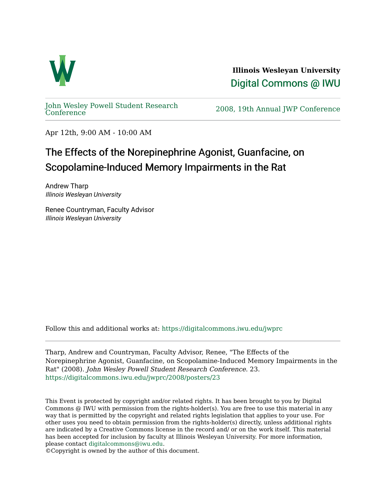

**Illinois Wesleyan University**  [Digital Commons @ IWU](https://digitalcommons.iwu.edu/) 

[John Wesley Powell Student Research](https://digitalcommons.iwu.edu/jwprc) 

2008, 19th Annual JWP [Conference](https://digitalcommons.iwu.edu/jwprc)

Apr 12th, 9:00 AM - 10:00 AM

## The Effects of the Norepinephrine Agonist, Guanfacine, on Scopolamine-Induced Memory Impairments in the Rat

Andrew Tharp Illinois Wesleyan University

Renee Countryman, Faculty Advisor Illinois Wesleyan University

Follow this and additional works at: [https://digitalcommons.iwu.edu/jwprc](https://digitalcommons.iwu.edu/jwprc?utm_source=digitalcommons.iwu.edu%2Fjwprc%2F2008%2Fposters%2F23&utm_medium=PDF&utm_campaign=PDFCoverPages) 

Tharp, Andrew and Countryman, Faculty Advisor, Renee, "The Effects of the Norepinephrine Agonist, Guanfacine, on Scopolamine-Induced Memory Impairments in the Rat" (2008). John Wesley Powell Student Research Conference. 23. [https://digitalcommons.iwu.edu/jwprc/2008/posters/23](https://digitalcommons.iwu.edu/jwprc/2008/posters/23?utm_source=digitalcommons.iwu.edu%2Fjwprc%2F2008%2Fposters%2F23&utm_medium=PDF&utm_campaign=PDFCoverPages)

This Event is protected by copyright and/or related rights. It has been brought to you by Digital Commons @ IWU with permission from the rights-holder(s). You are free to use this material in any way that is permitted by the copyright and related rights legislation that applies to your use. For other uses you need to obtain permission from the rights-holder(s) directly, unless additional rights are indicated by a Creative Commons license in the record and/ or on the work itself. This material has been accepted for inclusion by faculty at Illinois Wesleyan University. For more information, please contact [digitalcommons@iwu.edu.](mailto:digitalcommons@iwu.edu)

©Copyright is owned by the author of this document.